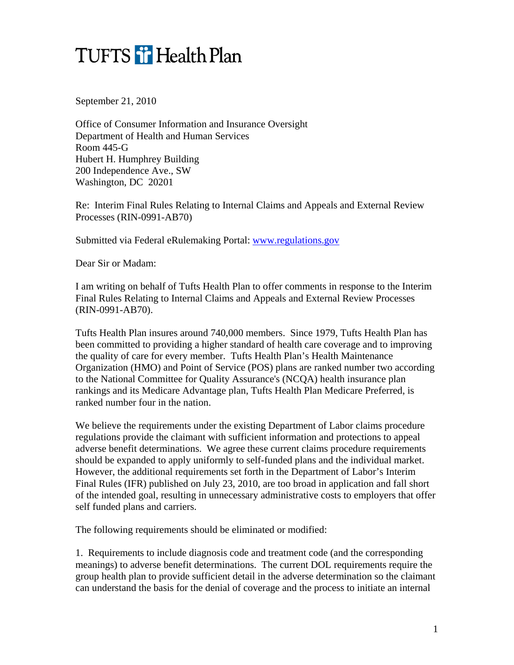## TUFTS T Health Plan

September 21, 2010

Office of Consumer Information and Insurance Oversight Department of Health and Human Services Room 445-G Hubert H. Humphrey Building 200 Independence Ave., SW Washington, DC 20201

Re: Interim Final Rules Relating to Internal Claims and Appeals and External Review Processes (RIN-0991-AB70)

Submitted via Federal eRulemaking Portal: [www.regulations.gov](http://www.regulations.gov/)

Dear Sir or Madam:

I am writing on behalf of Tufts Health Plan to offer comments in response to the Interim Final Rules Relating to Internal Claims and Appeals and External Review Processes (RIN-0991-AB70).

Tufts Health Plan insures around 740,000 members. Since 1979, Tufts Health Plan has been committed to providing a higher standard of health care coverage and to improving the quality of care for every member. Tufts Health Plan's Health Maintenance Organization (HMO) and Point of Service (POS) plans are ranked number two according to the National Committee for Quality Assurance's (NCQA) health insurance plan rankings and its Medicare Advantage plan, Tufts Health Plan Medicare Preferred, is ranked number four in the nation.

We believe the requirements under the existing Department of Labor claims procedure regulations provide the claimant with sufficient information and protections to appeal adverse benefit determinations. We agree these current claims procedure requirements should be expanded to apply uniformly to self-funded plans and the individual market. However, the additional requirements set forth in the Department of Labor's Interim Final Rules (IFR) published on July 23, 2010, are too broad in application and fall short of the intended goal, resulting in unnecessary administrative costs to employers that offer self funded plans and carriers.

The following requirements should be eliminated or modified:

1. Requirements to include diagnosis code and treatment code (and the corresponding meanings) to adverse benefit determinations. The current DOL requirements require the group health plan to provide sufficient detail in the adverse determination so the claimant can understand the basis for the denial of coverage and the process to initiate an internal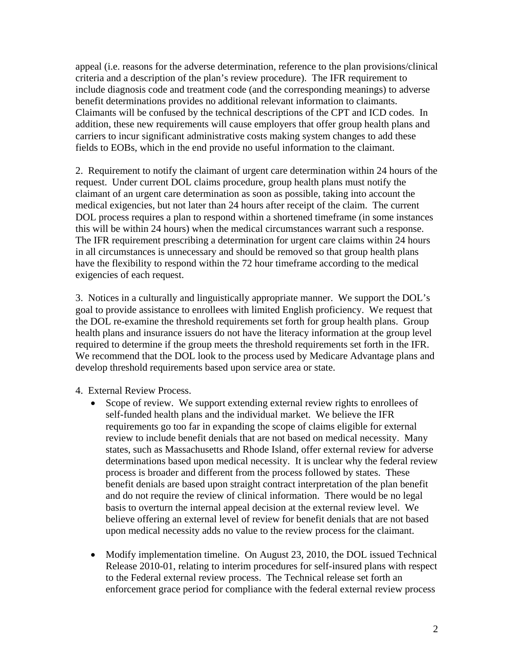appeal (i.e. reasons for the adverse determination, reference to the plan provisions/clinical criteria and a description of the plan's review procedure). The IFR requirement to include diagnosis code and treatment code (and the corresponding meanings) to adverse benefit determinations provides no additional relevant information to claimants. Claimants will be confused by the technical descriptions of the CPT and ICD codes. In addition, these new requirements will cause employers that offer group health plans and carriers to incur significant administrative costs making system changes to add these fields to EOBs, which in the end provide no useful information to the claimant.

2. Requirement to notify the claimant of urgent care determination within 24 hours of the request. Under current DOL claims procedure, group health plans must notify the claimant of an urgent care determination as soon as possible, taking into account the medical exigencies, but not later than 24 hours after receipt of the claim. The current DOL process requires a plan to respond within a shortened timeframe (in some instances this will be within 24 hours) when the medical circumstances warrant such a response. The IFR requirement prescribing a determination for urgent care claims within 24 hours in all circumstances is unnecessary and should be removed so that group health plans have the flexibility to respond within the 72 hour timeframe according to the medical exigencies of each request.

3. Notices in a culturally and linguistically appropriate manner. We support the DOL's goal to provide assistance to enrollees with limited English proficiency. We request that the DOL re-examine the threshold requirements set forth for group health plans. Group health plans and insurance issuers do not have the literacy information at the group level required to determine if the group meets the threshold requirements set forth in the IFR. We recommend that the DOL look to the process used by Medicare Advantage plans and develop threshold requirements based upon service area or state.

4. External Review Process.

- Scope of review. We support extending external review rights to enrollees of self-funded health plans and the individual market. We believe the IFR requirements go too far in expanding the scope of claims eligible for external review to include benefit denials that are not based on medical necessity. Many states, such as Massachusetts and Rhode Island, offer external review for adverse determinations based upon medical necessity. It is unclear why the federal review process is broader and different from the process followed by states. These benefit denials are based upon straight contract interpretation of the plan benefit and do not require the review of clinical information. There would be no legal basis to overturn the internal appeal decision at the external review level. We believe offering an external level of review for benefit denials that are not based upon medical necessity adds no value to the review process for the claimant.
- Modify implementation timeline. On August 23, 2010, the DOL issued Technical Release 2010-01, relating to interim procedures for self-insured plans with respect to the Federal external review process. The Technical release set forth an enforcement grace period for compliance with the federal external review process